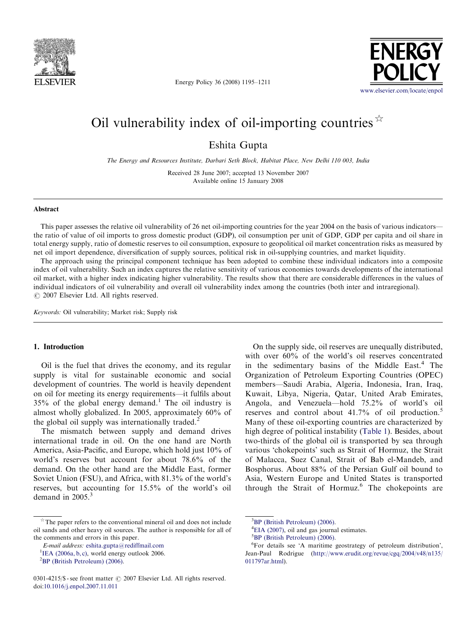

Energy Policy 36 (2008) 1195–1211



# Oil vulnerability index of oil-importing countries  $\vec{x}$

Eshita Gupta

The Energy and Resources Institute, Darbari Seth Block, Habitat Place, New Delhi 110 003, India

Received 28 June 2007; accepted 13 November 2007 Available online 15 January 2008

#### Abstract

This paper assesses the relative oil vulnerability of 26 net oil-importing countries for the year 2004 on the basis of various indicators the ratio of value of oil imports to gross domestic product (GDP), oil consumption per unit of GDP, GDP per capita and oil share in total energy supply, ratio of domestic reserves to oil consumption, exposure to geopolitical oil market concentration risks as measured by net oil import dependence, diversification of supply sources, political risk in oil-supplying countries, and market liquidity.

The approach using the principal component technique has been adopted to combine these individual indicators into a composite index of oil vulnerability. Such an index captures the relative sensitivity of various economies towards developments of the international oil market, with a higher index indicating higher vulnerability. The results show that there are considerable differences in the values of individual indicators of oil vulnerability and overall oil vulnerability index among the countries (both inter and intraregional).  $\odot$  2007 Elsevier Ltd. All rights reserved.

Keywords: Oil vulnerability; Market risk; Supply risk

#### 1. Introduction

Oil is the fuel that drives the economy, and its regular supply is vital for sustainable economic and social development of countries. The world is heavily dependent on oil for meeting its energy requirements—it fulfils about  $35\%$  of the global energy demand.<sup>1</sup> The oil industry is almost wholly globalized. In 2005, approximately 60% of the global oil supply was internationally traded.<sup>2</sup>

The mismatch between supply and demand drives international trade in oil. On the one hand are North America, Asia-Pacific, and Europe, which hold just 10% of world's reserves but account for about 78.6% of the demand. On the other hand are the Middle East, former Soviet Union (FSU), and Africa, with 81.3% of the world's reserves, but accounting for 15.5% of the world's oil demand in 2005.<sup>3</sup>

On the supply side, oil reserves are unequally distributed, with over 60% of the world's oil reserves concentrated in the sedimentary basins of the Middle East.<sup>4</sup> The Organization of Petroleum Exporting Countries (OPEC) members—Saudi Arabia, Algeria, Indonesia, Iran, Iraq, Kuwait, Libya, Nigeria, Qatar, United Arab Emirates, Angola, and Venezuela—hold 75.2% of world's oil reserves and control about 41.7% of oil production.<sup>5</sup> Many of these oil-exporting countries are characterized by high degree of political instability [\(Table 1](#page-1-0)). Besides, about two-thirds of the global oil is transported by sea through various 'chokepoints' such as Strait of Hormuz, the Strait of Malacca, Suez Canal, Strait of Bab el-Mandeb, and Bosphorus. About 88% of the Persian Gulf oil bound to Asia, Western Europe and United States is transported through the Strait of Hormuz.<sup>6</sup> The chokepoints are

 $*$  The paper refers to the conventional mineral oil and does not include oil sands and other heavy oil sources. The author is responsible for all of the comments and errors in this paper.

E-mail address: [eshita.gupta@rediffmail.com](mailto:eshita.gupta@rediffmail.com) <sup>1</sup>

<sup>&</sup>lt;sup>1</sup>[IEA \(2006a, b, c\),](#page-15-0) world energy outlook 2006.

 ${}^{2}BP$  (British Petroleum) (2006).

<sup>0301-4215/\$ -</sup> see front matter  $\odot$  2007 Elsevier Ltd. All rights reserved. doi:[10.1016/j.enpol.2007.11.011](dx.doi.org/10.1016/j.enpol.2007.11.011)

 ${}^{3}_{\text{BP}}$  (British Petroleum) (2006).

 ${}^{4}$ [EIA \(2007\),](#page-15-0) oil and gas journal estimates.

 ${}^{5}$ [BP \(British Petroleum\) \(2006\).](#page-15-0)

<sup>6</sup> For details see 'A maritime geostrategy of petroleum distribution', Jean-Paul Rodrigue ([http://www.erudit.org/revue/cgq/2004/v48/n135/](http://www.erudit.org/revue/cgq/2004/v48/n135/011797ar.html) [011797ar.html](http://www.erudit.org/revue/cgq/2004/v48/n135/011797ar.html)).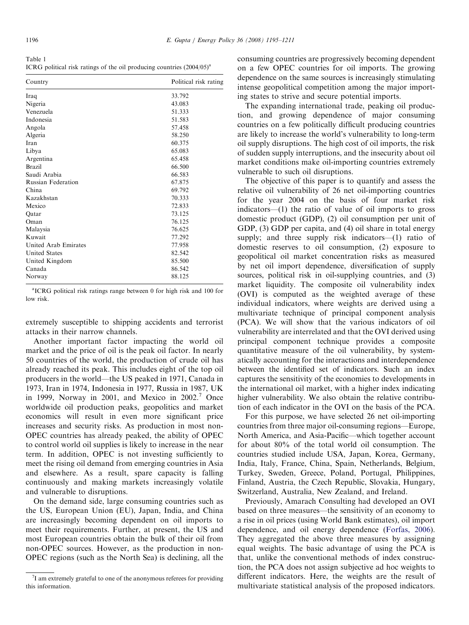<span id="page-1-0"></span>Table 1 ICRG political risk ratings of the oil producing countries  $(2004/05)^{a}$ 

| Country              | Political risk rating |
|----------------------|-----------------------|
| Iraq                 | 33.792                |
| Nigeria              | 43.083                |
| Venezuela            | 51.333                |
| Indonesia            | 51.583                |
| Angola               | 57.458                |
| Algeria              | 58.250                |
| Iran                 | 60.375                |
| Libya                | 65.083                |
| Argentina            | 65.458                |
| <b>Brazil</b>        | 66.500                |
| Saudi Arabia         | 66.583                |
| Russian Federation   | 67.875                |
| China                | 69.792                |
| Kazakhstan           | 70.333                |
| Mexico               | 72.833                |
| Qatar                | 73.125                |
| Oman                 | 76.125                |
| Malaysia             | 76.625                |
| Kuwait               | 77.292                |
| United Arab Emirates | 77.958                |
| <b>United States</b> | 82.542                |
| United Kingdom       | 85.500                |
| Canada               | 86.542                |
| Norway               | 88.125                |

a ICRG political risk ratings range between 0 for high risk and 100 for low risk.

extremely susceptible to shipping accidents and terrorist attacks in their narrow channels.

Another important factor impacting the world oil market and the price of oil is the peak oil factor. In nearly 50 countries of the world, the production of crude oil has already reached its peak. This includes eight of the top oil producers in the world—the US peaked in 1971, Canada in 1973, Iran in 1974, Indonesia in 1977, Russia in 1987, UK in 1999, Norway in 2001, and Mexico in  $2002$ .<sup>7</sup> Once worldwide oil production peaks, geopolitics and market economics will result in even more significant price increases and security risks. As production in most non-OPEC countries has already peaked, the ability of OPEC to control world oil supplies is likely to increase in the near term. In addition, OPEC is not investing sufficiently to meet the rising oil demand from emerging countries in Asia and elsewhere. As a result, spare capacity is falling continuously and making markets increasingly volatile and vulnerable to disruptions.

On the demand side, large consuming countries such as the US, European Union (EU), Japan, India, and China are increasingly becoming dependent on oil imports to meet their requirements. Further, at present, the US and most European countries obtain the bulk of their oil from non-OPEC sources. However, as the production in non-OPEC regions (such as the North Sea) is declining, all the

consuming countries are progressively becoming dependent on a few OPEC countries for oil imports. The growing dependence on the same sources is increasingly stimulating intense geopolitical competition among the major importing states to strive and secure potential imports.

The expanding international trade, peaking oil production, and growing dependence of major consuming countries on a few politically difficult producing countries are likely to increase the world's vulnerability to long-term oil supply disruptions. The high cost of oil imports, the risk of sudden supply interruptions, and the insecurity about oil market conditions make oil-importing countries extremely vulnerable to such oil disruptions.

The objective of this paper is to quantify and assess the relative oil vulnerability of 26 net oil-importing countries for the year 2004 on the basis of four market risk indicators—(1) the ratio of value of oil imports to gross domestic product (GDP), (2) oil consumption per unit of GDP, (3) GDP per capita, and (4) oil share in total energy supply; and three supply risk indicators—(1) ratio of domestic reserves to oil consumption, (2) exposure to geopolitical oil market concentration risks as measured by net oil import dependence, diversification of supply sources, political risk in oil-supplying countries, and (3) market liquidity. The composite oil vulnerability index (OVI) is computed as the weighted average of these individual indicators, where weights are derived using a multivariate technique of principal component analysis (PCA). We will show that the various indicators of oil vulnerability are interrelated and that the OVI derived using principal component technique provides a composite quantitative measure of the oil vulnerability, by systematically accounting for the interactions and interdependence between the identified set of indicators. Such an index captures the sensitivity of the economies to developments in the international oil market, with a higher index indicating higher vulnerability. We also obtain the relative contribution of each indicator in the OVI on the basis of the PCA.

For this purpose, we have selected 26 net oil-importing countries from three major oil-consuming regions—Europe, North America, and Asia-Pacific—which together account for about 80% of the total world oil consumption. The countries studied include USA, Japan, Korea, Germany, India, Italy, France, China, Spain, Netherlands, Belgium, Turkey, Sweden, Greece, Poland, Portugal, Philippines, Finland, Austria, the Czech Republic, Slovakia, Hungary, Switzerland, Australia, New Zealand, and Ireland.

Previously, Amarach Consulting had developed an OVI based on three measures—the sensitivity of an economy to a rise in oil prices (using World Bank estimates), oil import dependence, and oil energy dependence [\(Forfas, 2006\)](#page-15-0). They aggregated the above three measures by assigning equal weights. The basic advantage of using the PCA is that, unlike the conventional methods of index construction, the PCA does not assign subjective ad hoc weights to different indicators. Here, the weights are the result of multivariate statistical analysis of the proposed indicators.

 $1$  am extremely grateful to one of the anonymous referees for providing this information.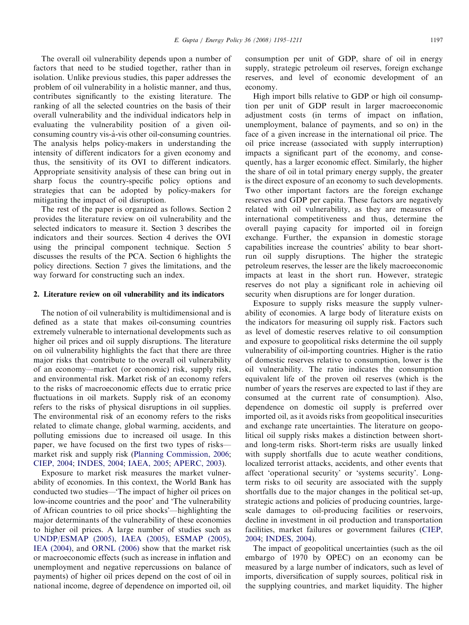The overall oil vulnerability depends upon a number of factors that need to be studied together, rather than in isolation. Unlike previous studies, this paper addresses the problem of oil vulnerability in a holistic manner, and thus, contributes significantly to the existing literature. The ranking of all the selected countries on the basis of their overall vulnerability and the individual indicators help in evaluating the vulnerability position of a given oilconsuming country vis-à-vis other oil-consuming countries. The analysis helps policy-makers in understanding the intensity of different indicators for a given economy and thus, the sensitivity of its OVI to different indicators. Appropriate sensitivity analysis of these can bring out in sharp focus the country-specific policy options and strategies that can be adopted by policy-makers for mitigating the impact of oil disruption.

The rest of the paper is organized as follows. Section 2 provides the literature review on oil vulnerability and the selected indicators to measure it. Section 3 describes the indicators and their sources. Section 4 derives the OVI using the principal component technique. Section 5 discusses the results of the PCA. Section 6 highlights the policy directions. Section 7 gives the limitations, and the way forward for constructing such an index.

#### 2. Literature review on oil vulnerability and its indicators

The notion of oil vulnerability is multidimensional and is defined as a state that makes oil-consuming countries extremely vulnerable to international developments such as higher oil prices and oil supply disruptions. The literature on oil vulnerability highlights the fact that there are three major risks that contribute to the overall oil vulnerability of an economy—market (or economic) risk, supply risk, and environmental risk. Market risk of an economy refers to the risks of macroeconomic effects due to erratic price fluctuations in oil markets. Supply risk of an economy refers to the risks of physical disruptions in oil supplies. The environmental risk of an economy refers to the risks related to climate change, global warming, accidents, and polluting emissions due to increased oil usage. In this paper, we have focused on the first two types of risks market risk and supply risk ([Planning Commission, 2006;](#page-16-0) [CIEP, 2004](#page-15-0); [INDES, 2004;](#page-15-0) [IAEA, 2005;](#page-15-0) [APERC, 2003\)](#page-15-0).

Exposure to market risk measures the market vulnerability of economies. In this context, the World Bank has conducted two studies—'The impact of higher oil prices on low-income countries and the poor' and 'The vulnerability of African countries to oil price shocks'—highlighting the major determinants of the vulnerability of these economies to higher oil prices. A large number of studies such as [UNDP/ESMAP \(2005\)](#page-16-0), [IAEA \(2005\)](#page-15-0), [ESMAP \(2005\),](#page-15-0) [IEA \(2004\),](#page-15-0) and [ORNL \(2006\)](#page-16-0) show that the market risk or macroeconomic effects (such as increase in inflation and unemployment and negative repercussions on balance of payments) of higher oil prices depend on the cost of oil in national income, degree of dependence on imported oil, oil

consumption per unit of GDP, share of oil in energy supply, strategic petroleum oil reserves, foreign exchange reserves, and level of economic development of an economy.

High import bills relative to GDP or high oil consumption per unit of GDP result in larger macroeconomic adjustment costs (in terms of impact on inflation, unemployment, balance of payments, and so on) in the face of a given increase in the international oil price. The oil price increase (associated with supply interruption) impacts a significant part of the economy, and consequently, has a larger economic effect. Similarly, the higher the share of oil in total primary energy supply, the greater is the direct exposure of an economy to such developments. Two other important factors are the foreign exchange reserves and GDP per capita. These factors are negatively related with oil vulnerability, as they are measures of international competitiveness and thus, determine the overall paying capacity for imported oil in foreign exchange. Further, the expansion in domestic storage capabilities increase the countries' ability to bear shortrun oil supply disruptions. The higher the strategic petroleum reserves, the lesser are the likely macroeconomic impacts at least in the short run. However, strategic reserves do not play a significant role in achieving oil security when disruptions are for longer duration.

Exposure to supply risks measure the supply vulnerability of economies. A large body of literature exists on the indicators for measuring oil supply risk. Factors such as level of domestic reserves relative to oil consumption and exposure to geopolitical risks determine the oil supply vulnerability of oil-importing countries. Higher is the ratio of domestic reserves relative to consumption, lower is the oil vulnerability. The ratio indicates the consumption equivalent life of the proven oil reserves (which is the number of years the reserves are expected to last if they are consumed at the current rate of consumption). Also, dependence on domestic oil supply is preferred over imported oil, as it avoids risks from geopolitical insecurities and exchange rate uncertainties. The literature on geopolitical oil supply risks makes a distinction between shortand long-term risks. Short-term risks are usually linked with supply shortfalls due to acute weather conditions, localized terrorist attacks, accidents, and other events that affect 'operational security' or 'systems security'. Longterm risks to oil security are associated with the supply shortfalls due to the major changes in the political set-up, strategic actions and policies of producing countries, largescale damages to oil-producing facilities or reservoirs, decline in investment in oil production and transportation facilities, market failures or government failures [\(CIEP,](#page-15-0) [2004](#page-15-0); [INDES, 2004\)](#page-15-0).

The impact of geopolitical uncertainties (such as the oil embargo of 1970 by OPEC) on an economy can be measured by a large number of indicators, such as level of imports, diversification of supply sources, political risk in the supplying countries, and market liquidity. The higher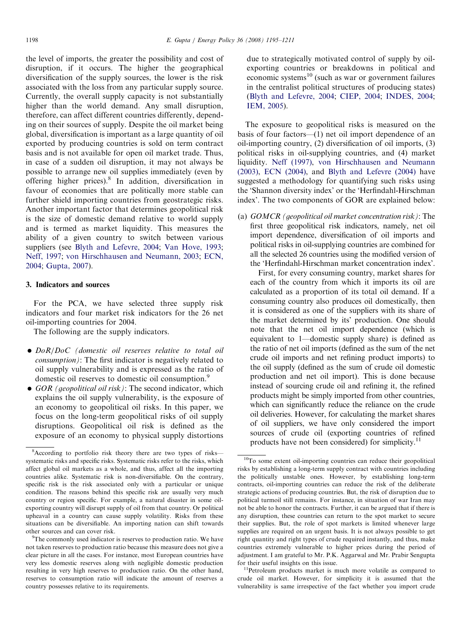the level of imports, the greater the possibility and cost of disruption, if it occurs. The higher the geographical diversification of the supply sources, the lower is the risk associated with the loss from any particular supply source. Currently, the overall supply capacity is not substantially higher than the world demand. Any small disruption, therefore, can affect different countries differently, depending on their sources of supply. Despite the oil market being global, diversification is important as a large quantity of oil exported by producing countries is sold on term contract basis and is not available for open oil market trade. Thus, in case of a sudden oil disruption, it may not always be possible to arrange new oil supplies immediately (even by offering higher prices).<sup>8</sup> In addition, diversification in favour of economies that are politically more stable can further shield importing countries from geostrategic risks. Another important factor that determines geopolitical risk is the size of domestic demand relative to world supply and is termed as market liquidity. This measures the ability of a given country to switch between various suppliers (see [Blyth and Lefevre, 2004;](#page-15-0) [Van Hove, 1993](#page-16-0); [Neff, 1997](#page-16-0); [von Hirschhausen and Neumann, 2003;](#page-16-0) [ECN,](#page-15-0) [2004;](#page-15-0) [Gupta, 2007](#page-15-0)).

#### 3. Indicators and sources

For the PCA, we have selected three supply risk indicators and four market risk indicators for the 26 net oil-importing countries for 2004.

The following are the supply indicators.

- $\bullet$  DoR/DoC (domestic oil reserves relative to total oil consumption): The first indicator is negatively related to oil supply vulnerability and is expressed as the ratio of domestic oil reserves to domestic oil consumption.<sup>9</sup>
- GOR (geopolitical oil risk): The second indicator, which explains the oil supply vulnerability, is the exposure of an economy to geopolitical oil risks. In this paper, we focus on the long-term geopolitical risks of oil supply disruptions. Geopolitical oil risk is defined as the exposure of an economy to physical supply distortions

due to strategically motivated control of supply by oilexporting countries or breakdowns in political and economic systems<sup>10</sup> (such as war or government failures in the centralist political structures of producing states) ([Blyth and Lefevre, 2004;](#page-15-0) [CIEP, 2004;](#page-15-0) [INDES, 2004](#page-15-0); [IEM, 2005](#page-15-0)).

The exposure to geopolitical risks is measured on the basis of four factors—(1) net oil import dependence of an oil-importing country, (2) diversification of oil imports, (3) political risks in oil-supplying countries, and (4) market liquidity. [Neff \(1997\)](#page-16-0), [von Hirschhausen and Neumann](#page-16-0) [\(2003\)](#page-16-0), [ECN \(2004\),](#page-15-0) and [Blyth and Lefevre \(2004\)](#page-15-0) have suggested a methodology for quantifying such risks using the 'Shannon diversity index' or the 'Herfindahl-Hirschman index'. The two components of GOR are explained below:

(a) GOMCR (geopolitical oil market concentration risk): The first three geopolitical risk indicators, namely, net oil import dependence, diversification of oil imports and political risks in oil-supplying countries are combined for all the selected 26 countries using the modified version of the 'Herfindahl-Hirschman market concentration index'.

First, for every consuming country, market shares for each of the country from which it imports its oil are calculated as a proportion of its total oil demand. If a consuming country also produces oil domestically, then it is considered as one of the suppliers with its share of the market determined by its' production. One should note that the net oil import dependence (which is equivalent to 1—domestic supply share) is defined as the ratio of net oil imports (defined as the sum of the net crude oil imports and net refining product imports) to the oil supply (defined as the sum of crude oil domestic production and net oil import). This is done because instead of sourcing crude oil and refining it, the refined products might be simply imported from other countries, which can significantly reduce the reliance on the crude oil deliveries. However, for calculating the market shares of oil suppliers, we have only considered the import sources of crude oil (exporting countries of refined products have not been considered) for simplicity.<sup>11</sup>

<sup>&</sup>lt;sup>8</sup>According to portfolio risk theory there are two types of riskssystematic risks and specific risks. Systematic risks refer to the risks, which affect global oil markets as a whole, and thus, affect all the importing countries alike. Systematic risk is non-diversifiable. On the contrary, specific risk is the risk associated only with a particular or unique condition. The reasons behind this specific risk are usually very much country or region specific. For example, a natural disaster in some oilexporting country will disrupt supply of oil from that country. Or political upheaval in a country can cause supply volatility. Risks from these situations can be diversifiable. An importing nation can shift towards other sources and can cover risk.

<sup>&</sup>lt;sup>9</sup>The commonly used indicator is reserves to production ratio. We have not taken reserves to production ratio because this measure does not give a clear picture in all the cases. For instance, most European countries have very less domestic reserves along with negligible domestic production resulting in very high reserves to production ratio. On the other hand, reserves to consumption ratio will indicate the amount of reserves a country possesses relative to its requirements.

<sup>10</sup>To some extent oil-importing countries can reduce their geopolitical risks by establishing a long-term supply contract with countries including the politically unstable ones. However, by establishing long-term contracts, oil-importing countries can reduce the risk of the deliberate strategic actions of producing countries. But, the risk of disruption due to political turmoil still remains. For instance, in situation of war Iran may not be able to honor the contracts. Further, it can be argued that if there is any disruption, these countries can return to the spot market to secure their supplies. But, the role of spot markets is limited whenever large supplies are required on an urgent basis. It is not always possible to get right quantity and right types of crude required instantly, and thus, make countries extremely vulnerable to higher prices during the period of adjustment. I am grateful to Mr. P.K. Aggarwal and Mr. Prabir Sengupta for their useful insights on this issue.<br><sup>11</sup>Petroleum products market is much more volatile as compared to

crude oil market. However, for simplicity it is assumed that the vulnerability is same irrespective of the fact whether you import crude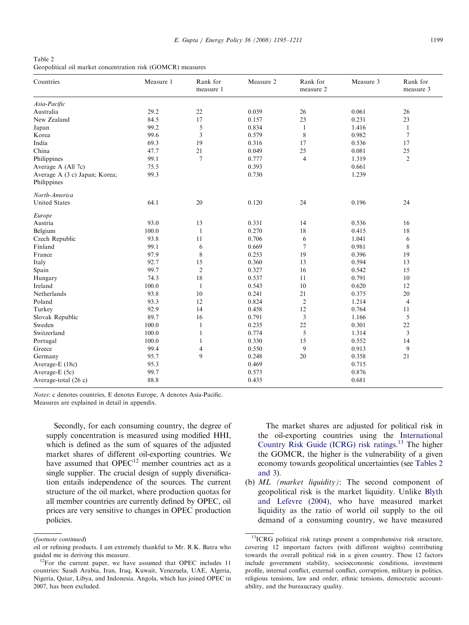<span id="page-4-0"></span>Table 2 Geopolitical oil market concentration risk (GOMCR) measures

| Countries                     | Measure 1 | Rank for<br>measure 1 | Measure 2 | Rank for<br>measure 2 | Measure 3 | Rank for<br>measure 3 |
|-------------------------------|-----------|-----------------------|-----------|-----------------------|-----------|-----------------------|
| Asia-Pacific                  |           |                       |           |                       |           |                       |
| Australia                     | 29.2      | 22                    | 0.039     | 26                    | 0.061     | 26                    |
| New Zealand                   | 84.5      | 17                    | 0.157     | 23                    | 0.231     | 23                    |
| Japan                         | 99.2      | $\mathfrak s$         | 0.834     | $\mathbf{1}$          | 1.416     | $\mathbf{1}$          |
| Korea                         | 99.6      | 3                     | 0.579     | 8                     | 0.982     | $\overline{7}$        |
| India                         | 69.3      | 19                    | 0.316     | 17                    | 0.536     | 17                    |
| China                         | 47.7      | 21                    | 0.049     | 25                    | 0.081     | 25                    |
| Philippines                   | 99.1      | $\overline{7}$        | 0.777     | $\overline{4}$        | 1.319     | $\overline{2}$        |
| Average A (All 7c)            | 75.5      |                       | 0.393     |                       | 0.661     |                       |
| Average A (3 c) Japan; Korea; | 99.3      |                       | 0.730     |                       | 1.239     |                       |
| Philippines                   |           |                       |           |                       |           |                       |
| North-America                 |           |                       |           |                       |           |                       |
| <b>United States</b>          | 64.1      | 20                    | 0.120     | 24                    | 0.196     | 24                    |
| Europe                        |           |                       |           |                       |           |                       |
| Austria                       | 93.0      | 13                    | 0.331     | 14                    | 0.536     | 16                    |
| Belgium                       | 100.0     | $\mathbf{1}$          | 0.270     | 18                    | 0.415     | 18                    |
| Czech Republic                | 93.8      | 11                    | 0.706     | 6                     | 1.041     | 6                     |
| Finland                       | 99.1      | 6                     | 0.669     | $\overline{7}$        | 0.981     | 8                     |
| France                        | 97.9      | 8                     | 0.253     | 19                    | 0.396     | 19                    |
| Italy                         | 92.7      | 15                    | 0.360     | 13                    | 0.594     | 13                    |
| Spain                         | 99.7      | $\overline{2}$        | 0.327     | 16                    | 0.542     | 15                    |
| Hungary                       | 74.3      | 18                    | 0.537     | 11                    | 0.791     | 10                    |
| Ireland                       | 100.0     | $\mathbf{1}$          | 0.543     | 10                    | 0.620     | 12                    |
| Netherlands                   | 93.8      | 10                    | 0.241     | 21                    | 0.375     | 20                    |
| Poland                        | 93.3      | 12                    | 0.824     | $\overline{2}$        | 1.214     | $\overline{4}$        |
| Turkey                        | 92.9      | 14                    | 0.458     | 12                    | 0.764     | 11                    |
| Slovak Republic               | 89.7      | 16                    | 0.791     | $\overline{3}$        | 1.166     | 5                     |
| Sweden                        | 100.0     | $\mathbf{1}$          | 0.235     | 22                    | 0.301     | $22\,$                |
| Switzerland                   | 100.0     | $\mathbf{1}$          | 0.774     | 5                     | 1.314     | 3                     |
| Portugal                      | 100.0     | $\mathbf{1}$          | 0.330     | 15                    | 0.552     | 14                    |
| Greece                        | 99.4      | $\overline{4}$        | 0.550     | 9                     | 0.913     | 9                     |
| Germany                       | 95.7      | 9                     | 0.248     | 20                    | 0.358     | 21                    |
| Average-E (18c)               | 95.3      |                       | 0.469     |                       | 0.715     |                       |
| Average-E (5c)                | 99.7      |                       | 0.573     |                       | 0.876     |                       |
| Average-total (26 c)          | 88.8      |                       | 0.435     |                       | 0.681     |                       |

Notes: c denotes countries, E denotes Europe, A denotes Asia-Pacific. Measures are explained in detail in appendix.

Secondly, for each consuming country, the degree of supply concentration is measured using modified HHI, which is defined as the sum of squares of the adjusted market shares of different oil-exporting countries. We have assumed that OPEC<sup>12</sup> member countries act as a single supplier. The crucial design of supply diversification entails independence of the sources. The current structure of the oil market, where production quotas for all member countries are currently defined by OPEC, oil prices are very sensitive to changes in OPEC production policies.

The market shares are adjusted for political risk in the oil-exporting countries using the [International](#page-15-0) [Country](#page-15-0) [Risk](#page-15-0) [Guide](#page-15-0) [\(ICRG\)](#page-15-0) [risk](#page-15-0) [ratings.13](#page-15-0) The higher the GOMCR, the higher is the vulnerability of a given economy towards geopolitical uncertainties (see Tables 2 and 3).

(b) ML (market liquidity): The second component of geopolitical risk is the market liquidity. Unlike [Blyth](#page-15-0) [and Lefevre \(2004\)](#page-15-0), who have measured market liquidity as the ratio of world oil supply to the oil demand of a consuming country, we have measured

<sup>(</sup>footnote continued)

oil or refining products. I am extremely thankful to Mr. R.K. Batra who

 $^{12}$ For the current paper, we have assumed that OPEC includes 11 countries: Saudi Arabia, Iran, Iraq, Kuwait, Venezuela, UAE, Algeria, Nigeria, Qatar, Libya, and Indonesia. Angola, which has joined OPEC in 2007, has been excluded.

<sup>&</sup>lt;sup>13</sup>ICRG political risk ratings present a comprehensive risk structure, covering 12 important factors (with different weights) contributing towards the overall political risk in a given country. These 12 factors include government stability, socioeconomic conditions, investment profile, internal conflict, external conflict, corruption, military in politics, religious tensions, law and order, ethnic tensions, democratic accountability, and the bureaucracy quality.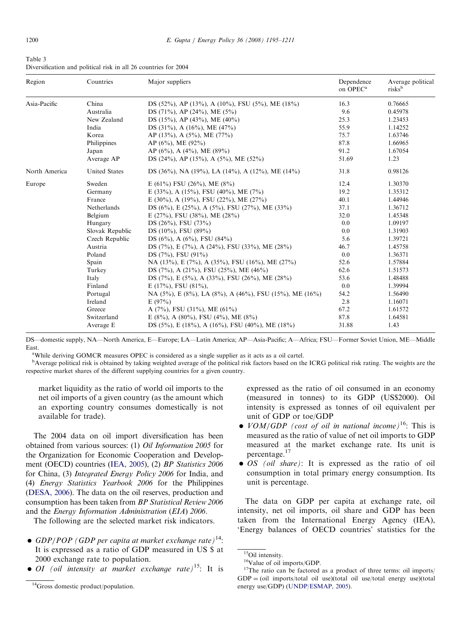| Table 3                                                         |  |  |  |  |
|-----------------------------------------------------------------|--|--|--|--|
| Diversification and political risk in all 26 countries for 2004 |  |  |  |  |

| Region        | Countries            | Major suppliers                                                    | Dependence<br>on OPEC <sup>a</sup> | Average political<br>risks <sup>b</sup> |
|---------------|----------------------|--------------------------------------------------------------------|------------------------------------|-----------------------------------------|
| Asia-Pacific  | China                | DS $(52\%)$ , AP $(13\%)$ , A $(10\%)$ , FSU $(5\%)$ , ME $(18\%)$ | 16.3                               | 0.76665                                 |
|               | Australia            | DS $(71\%)$ , AP $(24\%)$ , ME $(5\%)$                             | 9.6                                | 0.45978                                 |
|               | New Zealand          | DS (15%), AP (43%), ME (40%)                                       | 25.3                               | 1.23453                                 |
|               | India                | DS $(31\%)$ , A $(16\%)$ , ME $(47\%)$                             | 55.9                               | 1.14252                                 |
|               | Korea                | AP (13%), A (5%), ME (77%)                                         | 75.7                               | 1.63746                                 |
|               | Philippines          | AP $(6\%)$ , ME $(92\%)$                                           | 87.8                               | 1.66965                                 |
|               | Japan                | AP $(6\%)$ , A $(4\%)$ , ME $(89\%)$                               | 91.2                               | 1.67054                                 |
|               | Average AP           | DS (24%), AP (15%), A (5%), ME (52%)                               | 51.69                              | 1.23                                    |
| North America | <b>United States</b> | DS (36%), NA (19%), LA (14%), A (12%), ME (14%)                    | 31.8                               | 0.98126                                 |
| Europe        | Sweden               | E (61%) FSU (26%), ME (8%)                                         | 12.4                               | 1.30370                                 |
|               | Germany              | E (33%), A (15%), FSU (40%), ME (7%)                               | 19.2                               | 1.35312                                 |
|               | France               | E (30%), A (19%), FSU (22%), ME (27%)                              | 40.1                               | 1.44946                                 |
|               | Netherlands          | DS $(6\%)$ , E $(25\%)$ , A $(5\%)$ , FSU $(27\%)$ , ME $(33\%)$   | 37.1                               | 1.36712                                 |
|               | Belgium              | E $(27\%)$ , FSU $(38\%)$ , ME $(28\%)$                            | 32.0                               | 1.45348                                 |
|               | Hungary              | DS $(26\%)$ , FSU $(73\%)$                                         | 0.0                                | 1.09197                                 |
|               | Slovak Republic      | DS (10%), FSU (89%)                                                | 0.0                                | 1.31903                                 |
|               | Czech Republic       | DS $(6\%)$ , A $(6\%)$ , FSU $(84\%)$                              | 5.6                                | 1.39721                                 |
|               | Austria              | DS (7%), E (7%), A (24%), FSU (33%), ME (28%)                      | 46.7                               | 1.45758                                 |
|               | Poland               | DS $(7\%)$ , FSU $(91\%)$                                          | 0.0                                | 1.36371                                 |
|               | Spain                | NA (13%), E (7%), A (35%), FSU (16%), ME (27%)                     | 52.6                               | 1.57884                                 |
|               | Turkey               | DS $(7\%)$ , A $(21\%)$ , FSU $(25\%)$ , ME $(46\%)$               | 62.6                               | 1.51573                                 |
|               | Italy                | DS (7%), E (5%), A (33%), FSU (26%), ME (28%)                      | 53.6                               | 1.48488                                 |
|               | Finland              | E $(17\%)$ , FSU $(81\%)$ ,                                        | 0.0                                | 1.39994                                 |
|               | Portugal             | NA (5%), E (8%), LA (8%), A (46%), FSU (15%), ME (16%)             | 54.2                               | 1.56490                                 |
|               | Ireland              | E(97%)                                                             | 2.8                                | 1.16071                                 |
|               | Greece               | A $(7\%)$ , FSU $(31\%)$ , ME $(61\%)$                             | 67.2                               | 1.61572                                 |
|               | Switzerland          | E $(8\%)$ , A $(80\%)$ , FSU $(4\%)$ , ME $(8\%)$                  | 87.8                               | 1.64581                                 |
|               | Average E            | DS $(5\%)$ , E $(18\%)$ , A $(16\%)$ , FSU $(40\%)$ , ME $(18\%)$  | 31.88                              | 1.43                                    |

DS—domestic supply, NA—North America, E—Europe; LA—Latin America; AP—Asia-Pacific; A—Africa; FSU—Former Soviet Union, ME—Middle East.

<sup>a</sup>While deriving GOMCR measures OPEC is considered as a single supplier as it acts as a oil cartel.

<sup>b</sup>Average political risk is obtained by taking weighted average of the political risk factors based on the ICRG political risk rating. The weights are the respective market shares of the different supplying countries for a given country.

market liquidity as the ratio of world oil imports to the net oil imports of a given country (as the amount which an exporting country consumes domestically is not available for trade).

The 2004 data on oil import diversification has been obtained from various sources: (1) Oil Information 2005 for the Organization for Economic Cooperation and Development (OECD) countries [\(IEA, 2005](#page-15-0)), (2) BP Statistics 2006 for China, (3) Integrated Energy Policy 2006 for India, and (4) Energy Statistics Yearbook 2006 for the Philippines [\(DESA, 2006](#page-15-0)). The data on the oil reserves, production and consumption has been taken from BP Statistical Review 2006 and the Energy Information Administration (EIA) 2006.

The following are the selected market risk indicators.

- GDP/POP (GDP per capita at market exchange rate)<sup>14</sup>: It is expressed as a ratio of GDP measured in US \$ at 2000 exchange rate to population.
- $\bullet$  OI (oil intensity at market exchange rate)<sup>15</sup>: It is

expressed as the ratio of oil consumed in an economy (measured in tonnes) to its GDP (US\$2000). Oil intensity is expressed as tonnes of oil equivalent per unit of GDP or toe/GDP

- $VOM/GDP$  (cost of oil in national income)<sup>16</sup>: This is measured as the ratio of value of net oil imports to GDP measured at the market exchange rate. Its unit is percentage.17
- · OS (oil share): It is expressed as the ratio of oil consumption in total primary energy consumption. Its unit is percentage.

The data on GDP per capita at exchange rate, oil intensity, net oil imports, oil share and GDP has been taken from the International Energy Agency (IEA), 'Energy balances of OECD countries' statistics for the

 $^{14}$ Gross domestic product/population.

 $15$ Oil intensity.

<sup>16</sup>Value of oil imports/GDP.

<sup>&</sup>lt;sup>17</sup>The ratio can be factored as a product of three terms: oil imports/  $GDP = (oil imports/total oil use)(total oil use/total energy use)(total$ energy use/GDP) [\(UNDP/ESMAP, 2005](#page-16-0)).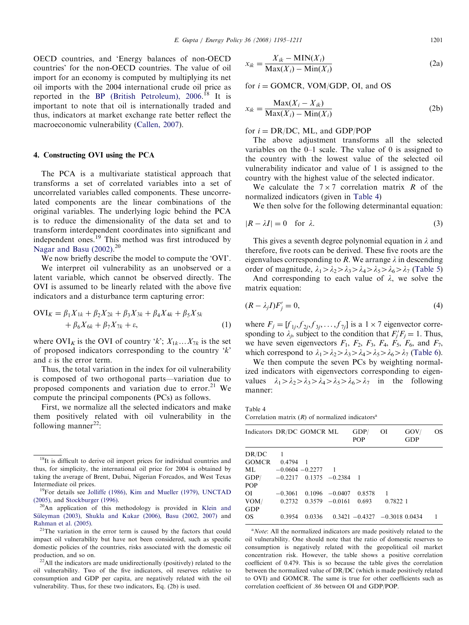OECD countries, and 'Energy balances of non-OECD countries' for the non-OECD countries. The value of oil import for an economy is computed by multiplying its net oil imports with the 2004 international crude oil price as reported in the [BP \(British Petroleum\), 2006.](#page-15-0)<sup>18</sup> It is important to note that oil is internationally traded and thus, indicators at market exchange rate better reflect the macroeconomic vulnerability ([Callen, 2007](#page-15-0)).

#### 4. Constructing OVI using the PCA

The PCA is a multivariate statistical approach that transforms a set of correlated variables into a set of uncorrelated variables called components. These uncorrelated components are the linear combinations of the original variables. The underlying logic behind the PCA is to reduce the dimensionality of the data set and to transform interdependent coordinates into significant and independent ones.<sup>19</sup> This method was first introduced by [Nagar and Basu \(2002\)](#page-16-0).<sup>20</sup>

We now briefly describe the model to compute the 'OVI'. We interpret oil vulnerability as an unobserved or a latent variable, which cannot be observed directly. The OVI is assumed to be linearly related with the above five indicators and a disturbance term capturing error:

$$
OVIK = \beta_1 X_{1k} + \beta_2 X_{2k} + \beta_3 X_{3k} + \beta_4 X_{4k} + \beta_5 X_{5k} + \beta_6 X_{6k} + \beta_7 X_{7k} + \varepsilon,
$$
 (1)

where OVI<sub>K</sub> is the OVI of country 'k';  $X_{1k}$ ...  $X_{7k}$  is the set of proposed indicators corresponding to the country  $k$ and  $\varepsilon$  is the error term.

Thus, the total variation in the index for oil vulnerability is composed of two orthogonal parts—variation due to proposed components and variation due to  $error<sup>21</sup>$  We compute the principal components (PCs) as follows.

First, we normalize all the selected indicators and make them positively related with oil vulnerability in the following manner<sup>22</sup>:

$$
x_{ik} = \frac{X_{ik} - \text{MIN}(X_i)}{\text{Max}(X_i) - \text{Min}(X_i)}
$$
(2a)

for  $i = \text{GOMCR}$ , VOM/GDP, OI, and OS

$$
x_{ik} = \frac{\text{Max}(X_i - X_{ik})}{\text{Max}(X_i) - \text{Min}(X_i)}
$$
(2b)

#### for  $i = DR/DC$ , ML, and GDP/POP

The above adjustment transforms all the selected variables on the 0–1 scale. The value of 0 is assigned to the country with the lowest value of the selected oil vulnerability indicator and value of 1 is assigned to the country with the highest value of the selected indicator.

We calculate the  $7 \times 7$  correlation matrix R of the normalized indicators (given in Table 4)

We then solve for the following determinantal equation:

$$
|R - \lambda I| = 0 \quad \text{for } \lambda. \tag{3}
$$

This gives a seventh degree polynomial equation in  $\lambda$  and therefore, five roots can be derived. These five roots are the eigenvalues corresponding to R. We arrange  $\lambda$  in descending order of magnitude,  $\lambda_1 > \lambda_2 > \lambda_3 > \lambda_4 > \lambda_5 > \lambda_6 > \lambda_7$  [\(Table 5](#page-7-0))

And corresponding to each value of  $\lambda$ , we solve the matrix equation:

$$
(R - \lambda_j I)F'_j = 0,\t\t(4)
$$

where  $F_j = [f_{1j}, f_{2j}, f_{3j}, \dots, f_{7j}]$  is a  $1 \times 7$  eigenvector corresponding to  $\lambda_j$ , subject to the condition that  $F_j / F_j = 1$ . Thus, we have seven eigenvectors  $F_1$ ,  $F_2$ ,  $F_3$ ,  $F_4$ ,  $F_5$ ,  $F_6$ , and  $F_7$ , which correspond to  $\lambda_1 > \lambda_2 > \lambda_3 > \lambda_4 > \lambda_5 > \lambda_6 > \lambda_7$  [\(Table 6\)](#page-7-0).

We then compute the seven PCs by weighting normalized indicators with eigenvectors corresponding to eigenvalues  $\lambda_1 > \lambda_2 > \lambda_3 > \lambda_4 > \lambda_5 > \lambda_6 > \lambda_7$  in the following manner:

Table 4 Correlation matrix  $(R)$  of normalized indicators<sup>a</sup>

| Indicators DR/DC GOMCR ML |           |                                |                   | GDP/<br><b>POP</b> | ΟI<br>GOV/<br>GDP                 | OS |
|---------------------------|-----------|--------------------------------|-------------------|--------------------|-----------------------------------|----|
| DR/DC                     | 1         |                                |                   |                    |                                   |    |
| <b>GOMCR</b>              | 0.4794    | $\overline{1}$                 |                   |                    |                                   |    |
| ML.                       |           | $-0.0604 - 0.2277$ 1           |                   |                    |                                   |    |
| GDP/                      |           | $-0.2217$ $0.1375$ $-0.2384$ 1 |                   |                    |                                   |    |
| <b>POP</b>                |           |                                |                   |                    |                                   |    |
| ОI                        | $-0.3061$ |                                | $0.1096 - 0.0407$ | 0.8578             |                                   |    |
| VOM/                      | 0.2732    |                                | $0.3579 - 0.0161$ | 0.693              | 0.7822 1                          |    |
| GDP                       |           |                                |                   |                    |                                   |    |
| <b>OS</b>                 | 0.3954    | 0.0336                         |                   |                    | $0.3421 - 0.4327 - 0.3018$ 0.0434 |    |

<sup>a</sup>Note: All the normalized indicators are made positively related to the oil vulnerability. One should note that the ratio of domestic reserves to consumption is negatively related with the geopolitical oil market concentration risk. However, the table shows a positive correlation coefficient of 0.479. This is so because the table gives the correlation between the normalized value of DR/DC (which is made positively related to OVI) and GOMCR. The same is true for other coefficients such as correlation coefficient of .86 between OI and GDP/POP.

<sup>&</sup>lt;sup>18</sup>It is difficult to derive oil import prices for individual countries and thus, for simplicity, the international oil price for 2004 is obtained by taking the average of Brent, Dubai, Nigerian Forcados, and West Texas Intermediate oil prices.

<sup>&</sup>lt;sup>19</sup>For details see [Jolliffe \(1986\)](#page-15-0), [Kim and Mueller \(1979\)](#page-15-0), [UNCTAD](#page-16-0) [\(2005\),](#page-16-0) and [Stockburger \(1996\)](#page-16-0).<br><sup>20</sup>An application of this methodology is provided in [Klein and](#page-16-0)

Süleyman (2003), [Shukla and Kakar \(2006\)](#page-16-0), [Basu \(2002, 2007\)](#page-15-0) and [Rahman et al. \(2005\)](#page-16-0).  $2^{1}$ The variation in the error term is caused by the factors that could

impact oil vulnerability but have not been considered, such as specific domestic policies of the countries, risks associated with the domestic oil

 $^{22}$ All the indicators are made unidirectionally (positively) related to the oil vulnerability. Two of the five indicators, oil reserves relative to consumption and GDP per capita, are negatively related with the oil vulnerability. Thus, for these two indicators, Eq. (2b) is used.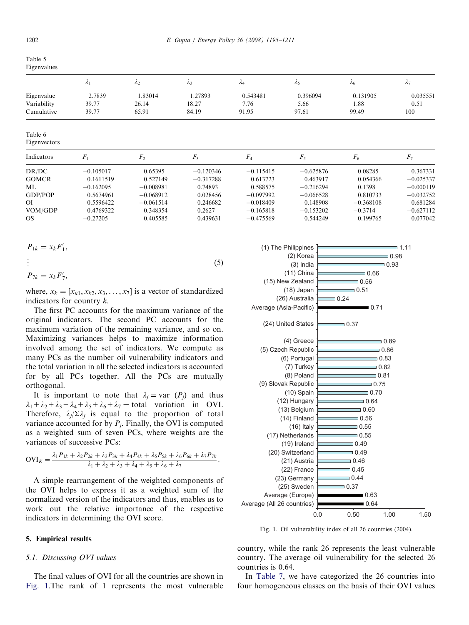<span id="page-7-0"></span>

| Table 5     |  |
|-------------|--|
| Eigenvalues |  |

|                           | $\sim$          | $\lambda_2$      | $\mathcal{L}$   | 74               | 7.5              | 46               | $\lambda$ 7      |
|---------------------------|-----------------|------------------|-----------------|------------------|------------------|------------------|------------------|
| Eigenvalue<br>Variability | 2.7839<br>39.77 | 1.83014<br>26.14 | .27893<br>18.27 | 0.543481<br>7.76 | 0.396094<br>5.66 | 0.131905<br>1.88 | 0.035551<br>0.51 |
| Cumulative                | 39.77           | 65.91            | 84.19           | 91.95            | 97.61            | 99.49            | 100              |

#### Table 6

Eigenvectors

| $-$          |             |                |             |             |             |             |                |
|--------------|-------------|----------------|-------------|-------------|-------------|-------------|----------------|
| Indicators   |             | F <sub>2</sub> | $F_3$       | $F_4$       | $F_5$       | $F_6$       | F <sub>7</sub> |
| DR/DC        | $-0.105017$ | 0.65395        | $-0.120346$ | $-0.115415$ | $-0.625876$ | 0.08285     | 0.367331       |
| <b>GOMCR</b> | 0.1611519   | 0.527149       | $-0.317288$ | 0.613723    | 0.463917    | 0.054366    | $-0.025337$    |
| ML           | $-0.162095$ | $-0.008981$    | 0.74893     | 0.588575    | $-0.216294$ | 0.1398      | $-0.000119$    |
| GDP/POP      | 0.5674961   | $-0.068912$    | 0.028456    | $-0.097992$ | $-0.066528$ | 0.810733    | $-0.032752$    |
| ΩĪ           | 0.5596422   | $-0.061514$    | 0.246682    | $-0.018409$ | 0.148908    | $-0.368108$ | 0.681284       |
| VOM/GDP      | 0.4769322   | 0.348354       | 0.2627      | $-0.165818$ | $-0.153202$ | $-0.3714$   | $-0.627112$    |
| <b>OS</b>    | $-0.27205$  | 0.405585       | 0.439631    | $-0.475569$ | 0.544249    | 0.199765    | 0.077042       |

.

$$
P_{1k} = x_k F'_1,
$$
  
\n
$$
\vdots
$$
  
\n
$$
P_{7k} = x_k F'_7,
$$
\n(5)

where,  $x_k = [x_{k1}, x_{k2}, x_3, \dots, x_7]$  is a vector of standardized indicators for country k.

The first PC accounts for the maximum variance of the original indicators. The second PC accounts for the maximum variation of the remaining variance, and so on. Maximizing variances helps to maximize information involved among the set of indicators. We compute as many PCs as the number oil vulnerability indicators and the total variation in all the selected indicators is accounted for by all PCs together. All the PCs are mutually orthogonal.

It is important to note that  $\lambda_i = \text{var}(P_i)$  and thus  $\lambda_1 + \lambda_2 + \lambda_3 + \lambda_4 + \lambda_5 + \lambda_6 + \lambda_7 =$  total variation in OVI. Therefore,  $\lambda_i/\Sigma \lambda_i$  is equal to the proportion of total variance accounted for by  $P_i$ . Finally, the OVI is computed as a weighted sum of seven PCs, where weights are the variances of successive PCs:

$$
OVI_K = \frac{\lambda_1 P_{1k} + \lambda_2 P_{2k} + \lambda_3 P_{3k} + \lambda_4 P_{4k} + \lambda_5 P_{5k} + \lambda_6 P_{6k} + \lambda_7 P_{7k}}{\lambda_1 + \lambda_2 + \lambda_3 + \lambda_4 + \lambda_5 + \lambda_6 + \lambda_7}
$$

A simple rearrangement of the weighted components of the OVI helps to express it as a weighted sum of the normalized version of the indicators and thus, enables us to work out the relative importance of the respective indicators in determining the OVI score.

#### 5. Empirical results

#### 5.1. Discussing OVI values

The final values of OVI for all the countries are shown in Fig. 1.The rank of 1 represents the most vulnerable



Fig. 1. Oil vulnerability index of all 26 countries (2004).

country, while the rank 26 represents the least vulnerable country. The average oil vulnerability for the selected 26 countries is 0.64.

In [Table 7](#page-8-0), we have categorized the 26 countries into four homogeneous classes on the basis of their OVI values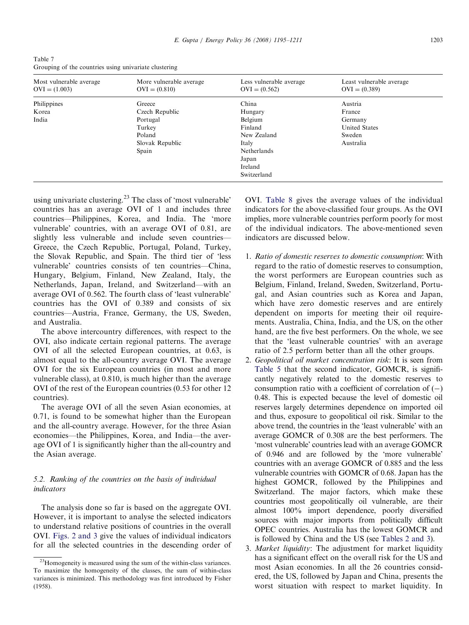<span id="page-8-0"></span>Table 7 Grouping of the countries using univariate clustering

| Most vulnerable average<br>$OVI = (1.003)$ | More vulnerable average<br>$OVI = (0.810)$ | Less vulnerable average<br>$OVI = (0.562)$ | Least vulnerable average<br>$OVI = (0.389)$ |
|--------------------------------------------|--------------------------------------------|--------------------------------------------|---------------------------------------------|
| Philippines                                | Greece                                     | China                                      | Austria                                     |
| Korea                                      | Czech Republic                             | Hungary                                    | France                                      |
| India                                      | Portugal                                   | Belgium                                    | Germany                                     |
|                                            | Turkey                                     | Finland                                    | <b>United States</b>                        |
|                                            | Poland                                     | New Zealand                                | Sweden                                      |
|                                            | Slovak Republic                            | Italy                                      | Australia                                   |
|                                            | Spain                                      | <b>Netherlands</b>                         |                                             |
|                                            |                                            | Japan                                      |                                             |
|                                            |                                            | Ireland                                    |                                             |
|                                            |                                            | Switzerland                                |                                             |

using univariate clustering.<sup>23</sup> The class of 'most vulnerable' countries has an average OVI of 1 and includes three countries—Philippines, Korea, and India. The 'more vulnerable' countries, with an average OVI of 0.81, are slightly less vulnerable and include seven countries— Greece, the Czech Republic, Portugal, Poland, Turkey, the Slovak Republic, and Spain. The third tier of 'less vulnerable' countries consists of ten countries—China, Hungary, Belgium, Finland, New Zealand, Italy, the Netherlands, Japan, Ireland, and Switzerland—with an average OVI of 0.562. The fourth class of 'least vulnerable' countries has the OVI of 0.389 and consists of six countries—Austria, France, Germany, the US, Sweden, and Australia.

The above intercountry differences, with respect to the OVI, also indicate certain regional patterns. The average OVI of all the selected European countries, at 0.63, is almost equal to the all-country average OVI. The average OVI for the six European countries (in most and more vulnerable class), at 0.810, is much higher than the average OVI of the rest of the European countries (0.53 for other 12 countries).

The average OVI of all the seven Asian economies, at 0.71, is found to be somewhat higher than the European and the all-country average. However, for the three Asian economies—the Philippines, Korea, and India—the average OVI of 1 is significantly higher than the all-country and the Asian average.

# 5.2. Ranking of the countries on the basis of individual indicators

The analysis done so far is based on the aggregate OVI. However, it is important to analyse the selected indicators to understand relative positions of countries in the overall OVI. [Figs. 2 and 3](#page-9-0) give the values of individual indicators for all the selected countries in the descending order of OVI. [Table 8](#page-10-0) gives the average values of the individual indicators for the above-classified four groups. As the OVI implies, more vulnerable countries perform poorly for most of the individual indicators. The above-mentioned seven indicators are discussed below.

- 1. Ratio of domestic reserves to domestic consumption: With regard to the ratio of domestic reserves to consumption, the worst performers are European countries such as Belgium, Finland, Ireland, Sweden, Switzerland, Portugal, and Asian countries such as Korea and Japan, which have zero domestic reserves and are entirely dependent on imports for meeting their oil requirements. Australia, China, India, and the US, on the other hand, are the five best performers. On the whole, we see that the 'least vulnerable countries' with an average ratio of 2.5 perform better than all the other groups.
- 2. Geopolitical oil market concentration risk: It is seen from [Table 5](#page-7-0) that the second indicator, GOMCR, is significantly negatively related to the domestic reserves to consumption ratio with a coefficient of correlation of  $(-)$ 0.48. This is expected because the level of domestic oil reserves largely determines dependence on imported oil and thus, exposure to geopolitical oil risk. Similar to the above trend, the countries in the 'least vulnerable' with an average GOMCR of 0.308 are the best performers. The 'most vulnerable' countries lead with an average GOMCR of 0.946 and are followed by the 'more vulnerable' countries with an average GOMCR of 0.885 and the less vulnerable countries with GOMCR of 0.68. Japan has the highest GOMCR, followed by the Philippines and Switzerland. The major factors, which make these countries most geopolitically oil vulnerable, are their almost 100% import dependence, poorly diversified sources with major imports from politically difficult OPEC countries. Australia has the lowest GOMCR and is followed by China and the US (see [Tables 2 and 3\)](#page-4-0).
- 3. Market liquidity: The adjustment for market liquidity has a significant effect on the overall risk for the US and most Asian economies. In all the 26 countries considered, the US, followed by Japan and China, presents the worst situation with respect to market liquidity. In

 $^{23}$ Homogeneity is measured using the sum of the within-class variances. To maximize the homogeneity of the classes, the sum of within-class variances is minimized. This methodology was first introduced by Fisher (1958).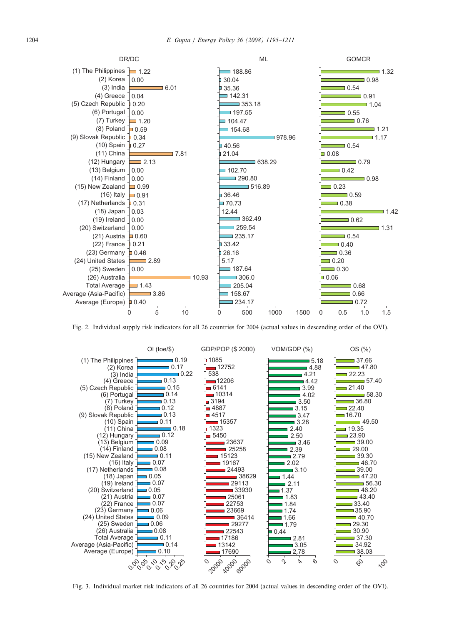<span id="page-9-0"></span>

Fig. 2. Individual supply risk indicators for all 26 countries for 2004 (actual values in descending order of the OVI).



Fig. 3. Individual market risk indicators of all 26 countries for 2004 (actual values in descending order of the OVI).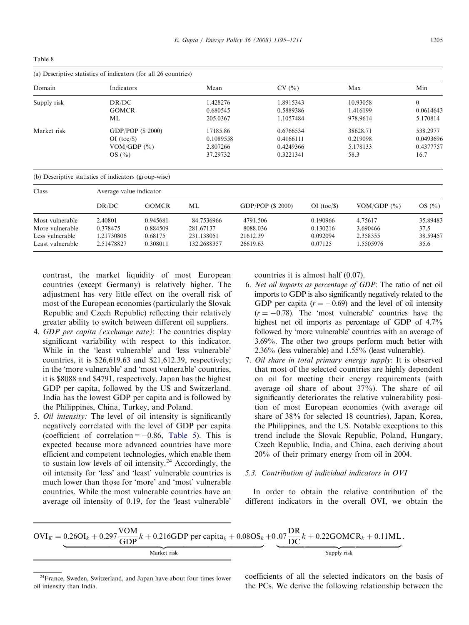| $\mathbf{u}$ , $\mathbf{v}$ , $\mathbf{v}$ , $\mathbf{v}$ , $\mathbf{v}$ , $\mathbf{v}$ , $\mathbf{v}$ , $\mathbf{v}$ , $\mathbf{v}$ , $\mathbf{v}$ , $\mathbf{v}$ , $\mathbf{v}$ , $\mathbf{v}$ , $\mathbf{v}$ , $\mathbf{v}$ , $\mathbf{v}$ , $\mathbf{v}$ , $\mathbf{v}$ , $\mathbf{v}$ , $\mathbf{v}$ , $\math$ |                         |                                                                                                                                                                                                                                                                             |             |                   |               |                 |              |
|---------------------------------------------------------------------------------------------------------------------------------------------------------------------------------------------------------------------------------------------------------------------------------------------------------------------|-------------------------|-----------------------------------------------------------------------------------------------------------------------------------------------------------------------------------------------------------------------------------------------------------------------------|-------------|-------------------|---------------|-----------------|--------------|
| Domain                                                                                                                                                                                                                                                                                                              | Indicators              |                                                                                                                                                                                                                                                                             | Mean        | CV(%)             |               | Max             | Min          |
| Supply risk                                                                                                                                                                                                                                                                                                         | DR/DC                   |                                                                                                                                                                                                                                                                             | 1.428276    |                   |               | 10.93058        | $\mathbf{0}$ |
|                                                                                                                                                                                                                                                                                                                     | <b>GOMCR</b>            | 1.8915343<br>0.680545<br>0.5889386<br>1.416199<br>205.0367<br>1.1057484<br>978.9614<br>GDP/POP (\$ 2000)<br>17185.86<br>0.6766534<br>38628.71<br>0.4166111<br>0.219098<br>0.1089558<br>VOM/GDP $(\%)$<br>2.807266<br>0.4249366<br>5.178133<br>0.3221341<br>37.29732<br>58.3 | 0.0614643   |                   |               |                 |              |
|                                                                                                                                                                                                                                                                                                                     | ML                      |                                                                                                                                                                                                                                                                             |             |                   |               |                 | 5.170814     |
| Market risk                                                                                                                                                                                                                                                                                                         |                         |                                                                                                                                                                                                                                                                             |             |                   |               |                 | 538.2977     |
|                                                                                                                                                                                                                                                                                                                     | $OI$ (toe/ $$$ )        |                                                                                                                                                                                                                                                                             |             |                   |               |                 | 0.0493696    |
|                                                                                                                                                                                                                                                                                                                     |                         |                                                                                                                                                                                                                                                                             |             |                   |               |                 | 0.4377757    |
|                                                                                                                                                                                                                                                                                                                     | OS(%)                   |                                                                                                                                                                                                                                                                             |             |                   |               |                 | 16.7         |
| (b) Descriptive statistics of indicators (group-wise)                                                                                                                                                                                                                                                               |                         |                                                                                                                                                                                                                                                                             |             |                   |               |                 |              |
| Class                                                                                                                                                                                                                                                                                                               | Average value indicator |                                                                                                                                                                                                                                                                             |             |                   |               |                 |              |
|                                                                                                                                                                                                                                                                                                                     | DR/DC                   | <b>GOMCR</b>                                                                                                                                                                                                                                                                | ML          | GDP/POP (\$ 2000) | $OI$ (toe/\$) | VOM/GDP $(\% )$ | OS(%)        |
| Most vulnerable                                                                                                                                                                                                                                                                                                     | 2.40801                 | 0.945681                                                                                                                                                                                                                                                                    | 84.7536966  | 4791.506          | 0.190966      | 4.75617         | 35.89483     |
| More vulnerable                                                                                                                                                                                                                                                                                                     | 0.378475                | 0.884509                                                                                                                                                                                                                                                                    | 281.67137   | 8088.036          | 0.130216      | 3.690466        | 37.5         |
| Less vulnerable                                                                                                                                                                                                                                                                                                     | 1.21730806              | 0.68175                                                                                                                                                                                                                                                                     | 231.138051  | 21612.39          | 0.092094      | 2.358355        | 38.59457     |
| Least vulnerable                                                                                                                                                                                                                                                                                                    | 2.51478827              | 0.308011                                                                                                                                                                                                                                                                    | 132.2688357 | 26619.63          | 0.07125       | 1.5505976       | 35.6         |

<span id="page-10-0"></span>Table 8

(a) Descriptive statistics of indicators (for all 26 countries)

contrast, the market liquidity of most European countries (except Germany) is relatively higher. The adjustment has very little effect on the overall risk of most of the European economies (particularly the Slovak Republic and Czech Republic) reflecting their relatively greater ability to switch between different oil suppliers.

- 4. GDP per capita (exchange rate): The countries display significant variability with respect to this indicator. While in the 'least vulnerable' and 'less vulnerable' countries, it is \$26,619.63 and \$21,612.39, respectively; in the 'more vulnerable' and 'most vulnerable' countries, it is \$8088 and \$4791, respectively. Japan has the highest GDP per capita, followed by the US and Switzerland. India has the lowest GDP per capita and is followed by the Philippines, China, Turkey, and Poland.
- 5. Oil intensity: The level of oil intensity is significantly negatively correlated with the level of GDP per capita (coefficient of correlation  $=$  -0.86, [Table 5\)](#page-7-0). This is expected because more advanced countries have more efficient and competent technologies, which enable them to sustain low levels of oil intensity. $2<sup>4</sup>$  Accordingly, the oil intensity for 'less' and 'least' vulnerable countries is much lower than those for 'more' and 'most' vulnerable countries. While the most vulnerable countries have an average oil intensity of 0.19, for the 'least vulnerable'

countries it is almost half (0.07).

- 6. Net oil imports as percentage of GDP: The ratio of net oil imports to GDP is also significantly negatively related to the GDP per capita  $(r = -0.69)$  and the level of oil intensity  $(r = -0.78)$ . The 'most vulnerable' countries have the highest net oil imports as percentage of GDP of 4.7% followed by 'more vulnerable' countries with an average of 3.69%. The other two groups perform much better with 2.36% (less vulnerable) and 1.55% (least vulnerable).
- 7. Oil share in total primary energy supply: It is observed that most of the selected countries are highly dependent on oil for meeting their energy requirements (with average oil share of about 37%). The share of oil significantly deteriorates the relative vulnerability position of most European economies (with average oil share of 38% for selected 18 countries), Japan, Korea, the Philippines, and the US. Notable exceptions to this trend include the Slovak Republic, Poland, Hungary, Czech Republic, India, and China, each deriving about 20% of their primary energy from oil in 2004.

## 5.3. Contribution of individual indicators in OVI

In order to obtain the relative contribution of the different indicators in the overall OVI, we obtain the

$$
OVI_{K} = \underbrace{0.26OI_{k} + 0.297 \frac{VOM}{GDP}k + 0.216GDP}_{\text{Market risk}} \underbrace{p \cdot q \cdot q \cdot q}_{\text{Market risk}} + 0.08OS_{k} + 0.07 \frac{DR}{DC}k + 0.22GOMCR_{k} + 0.11ML}_{\text{Supply risk}}.
$$

coefficients of all the selected indicators on the basis of the PCs. We derive the following relationship between the

<sup>&</sup>lt;sup>24</sup>France, Sweden, Switzerland, and Japan have about four times lower oil intensity than India.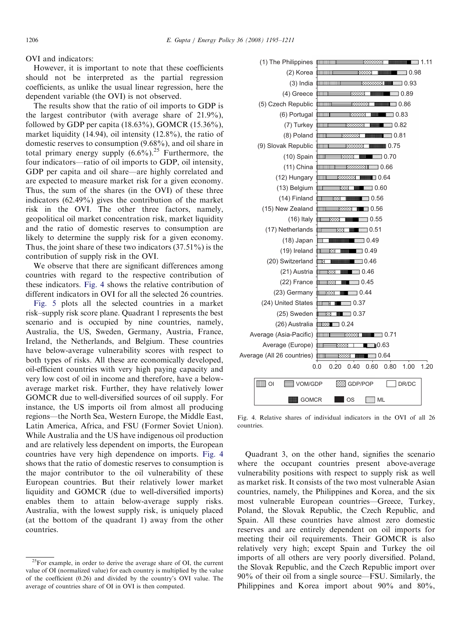<span id="page-11-0"></span>OVI and indicators:

However, it is important to note that these coefficients should not be interpreted as the partial regression coefficients, as unlike the usual linear regression, here the dependent variable (the OVI) is not observed.

The results show that the ratio of oil imports to GDP is the largest contributor (with average share of 21.9%), followed by GDP per capita  $(18.63\%)$ , GOMCR  $(15.36\%)$ , market liquidity (14.94), oil intensity (12.8%), the ratio of domestic reserves to consumption (9.68%), and oil share in total primary energy supply  $(6.6\%)$ <sup>25</sup> Furthermore, the four indicators—ratio of oil imports to GDP, oil intensity, GDP per capita and oil share—are highly correlated and are expected to measure market risk for a given economy. Thus, the sum of the shares (in the OVI) of these three indicators (62.49%) gives the contribution of the market risk in the OVI. The other three factors, namely, geopolitical oil market concentration risk, market liquidity and the ratio of domestic reserves to consumption are likely to determine the supply risk for a given economy. Thus, the joint share of these two indicators (37.51%) is the contribution of supply risk in the OVI.

We observe that there are significant differences among countries with regard to the respective contribution of these indicators. Fig. 4 shows the relative contribution of different indicators in OVI for all the selected 26 countries.

[Fig. 5](#page-12-0) plots all the selected countries in a market risk–supply risk score plane. Quadrant 1 represents the best scenario and is occupied by nine countries, namely, Australia, the US, Sweden, Germany, Austria, France, Ireland, the Netherlands, and Belgium. These countries have below-average vulnerability scores with respect to both types of risks. All these are economically developed, oil-efficient countries with very high paying capacity and very low cost of oil in income and therefore, have a belowaverage market risk. Further, they have relatively lower GOMCR due to well-diversified sources of oil supply. For instance, the US imports oil from almost all producing regions—the North Sea, Western Europe, the Middle East, Latin America, Africa, and FSU (Former Soviet Union). While Australia and the US have indigenous oil production and are relatively less dependent on imports, the European countries have very high dependence on imports. Fig. 4 shows that the ratio of domestic reserves to consumption is the major contributor to the oil vulnerability of these European countries. But their relatively lower market liquidity and GOMCR (due to well-diversified imports) enables them to attain below-average supply risks. Australia, with the lowest supply risk, is uniquely placed (at the bottom of the quadrant 1) away from the other countries.



Fig. 4. Relative shares of individual indicators in the OVI of all 26 countries.

Quadrant 3, on the other hand, signifies the scenario where the occupant countries present above-average vulnerability positions with respect to supply risk as well as market risk. It consists of the two most vulnerable Asian countries, namely, the Philippines and Korea, and the six most vulnerable European countries—Greece, Turkey, Poland, the Slovak Republic, the Czech Republic, and Spain. All these countries have almost zero domestic reserves and are entirely dependent on oil imports for meeting their oil requirements. Their GOMCR is also relatively very high; except Spain and Turkey the oil imports of all others are very poorly diversified. Poland, the Slovak Republic, and the Czech Republic import over 90% of their oil from a single source—FSU. Similarly, the Philippines and Korea import about 90% and 80%,

 $^{25}$ For example, in order to derive the average share of OI, the current value of OI (normalized value) for each country is multiplied by the value of the coefficient (0.26) and divided by the country's OVI value. The average of countries share of OI in OVI is then computed.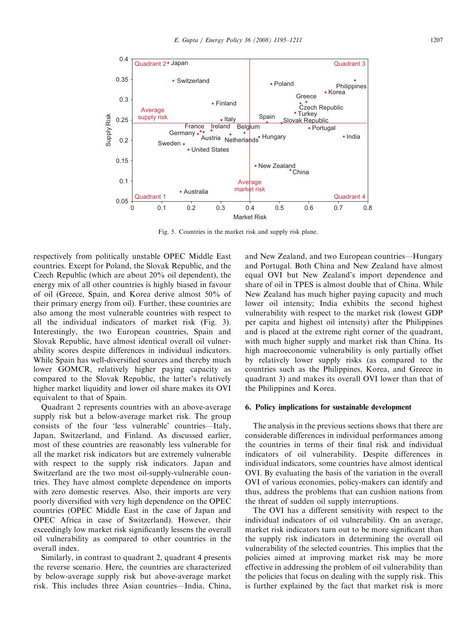<span id="page-12-0"></span>

Fig. 5. Countries in the market risk and supply risk plane.

respectively from politically unstable OPEC Middle East countries. Except for Poland, the Slovak Republic, and the Czech Republic (which are about 20% oil dependent), the energy mix of all other countries is highly biased in favour of oil (Greece, Spain, and Korea derive almost 50% of their primary energy from oil). Further, these countries are also among the most vulnerable countries with respect to all the individual indicators of market risk ([Fig. 3\)](#page-9-0). Interestingly, the two European countries, Spain and Slovak Republic, have almost identical overall oil vulnerability scores despite differences in individual indicators. While Spain has well-diversified sources and thereby much lower GOMCR, relatively higher paying capacity as compared to the Slovak Republic, the latter's relatively higher market liquidity and lower oil share makes its OVI equivalent to that of Spain.

Quadrant 2 represents countries with an above-average supply risk but a below-average market risk. The group consists of the four 'less vulnerable' countries—Italy, Japan, Switzerland, and Finland. As discussed earlier, most of these countries are reasonably less vulnerable for all the market risk indicators but are extremely vulnerable with respect to the supply risk indicators. Japan and Switzerland are the two most oil-supply-vulnerable countries. They have almost complete dependence on imports with zero domestic reserves. Also, their imports are very poorly diversified with very high dependence on the OPEC countries (OPEC Middle East in the case of Japan and OPEC Africa in case of Switzerland). However, their exceedingly low market risk significantly lessens the overall oil vulnerability as compared to other countries in the overall index.

Similarly, in contrast to quadrant 2, quadrant 4 presents the reverse scenario. Here, the countries are characterized by below-average supply risk but above-average market risk. This includes three Asian countries—India, China, and New Zealand, and two European countries—Hungary and Portugal. Both China and New Zealand have almost equal OVI but New Zealand's import dependence and share of oil in TPES is almost double that of China. While New Zealand has much higher paying capacity and much lower oil intensity; India exhibits the second highest vulnerability with respect to the market risk (lowest GDP per capita and highest oil intensity) after the Philippines and is placed at the extreme right corner of the quadrant, with much higher supply and market risk than China. Its high macroeconomic vulnerability is only partially offset by relatively lower supply risks (as compared to the countries such as the Philippines, Korea, and Greece in quadrant 3) and makes its overall OVI lower than that of the Philippines and Korea.

#### 6. Policy implications for sustainable development

The analysis in the previous sections shows that there are considerable differences in individual performances among the countries in terms of their final risk and individual indicators of oil vulnerability. Despite differences in individual indicators, some countries have almost identical OVI. By evaluating the basis of the variation in the overall OVI of various economies, policy-makers can identify and thus, address the problems that can cushion nations from the threat of sudden oil supply interruptions.

The OVI has a different sensitivity with respect to the individual indicators of oil vulnerability. On an average, market risk indicators turn out to be more significant than the supply risk indicators in determining the overall oil vulnerability of the selected countries. This implies that the policies aimed at improving market risk may be more effective in addressing the problem of oil vulnerability than the policies that focus on dealing with the supply risk. This is further explained by the fact that market risk is more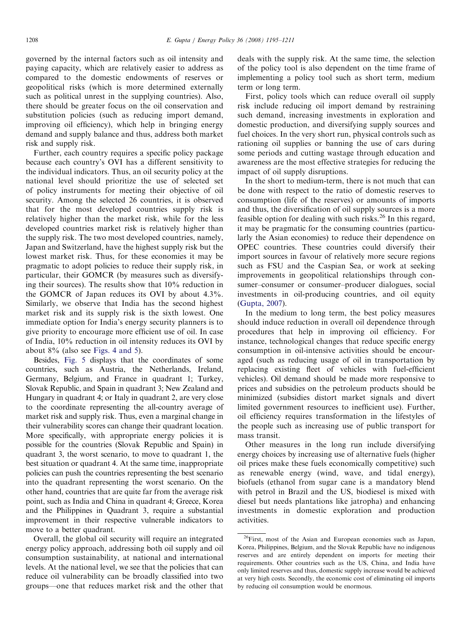governed by the internal factors such as oil intensity and paying capacity, which are relatively easier to address as compared to the domestic endowments of reserves or geopolitical risks (which is more determined externally such as political unrest in the supplying countries). Also, there should be greater focus on the oil conservation and substitution policies (such as reducing import demand, improving oil efficiency), which help in bringing energy demand and supply balance and thus, address both market risk and supply risk.

Further, each country requires a specific policy package because each country's OVI has a different sensitivity to the individual indicators. Thus, an oil security policy at the national level should prioritize the use of selected set of policy instruments for meeting their objective of oil security. Among the selected 26 countries, it is observed that for the most developed countries supply risk is relatively higher than the market risk, while for the less developed countries market risk is relatively higher than the supply risk. The two most developed countries, namely, Japan and Switzerland, have the highest supply risk but the lowest market risk. Thus, for these economies it may be pragmatic to adopt policies to reduce their supply risk, in particular, their GOMCR (by measures such as diversifying their sources). The results show that 10% reduction in the GOMCR of Japan reduces its OVI by about 4.3%. Similarly, we observe that India has the second highest market risk and its supply risk is the sixth lowest. One immediate option for India's energy security planners is to give priority to encourage more efficient use of oil. In case of India, 10% reduction in oil intensity reduces its OVI by about 8% (also see [Figs. 4 and 5\)](#page-11-0).

Besides, [Fig. 5](#page-12-0) displays that the coordinates of some countries, such as Austria, the Netherlands, Ireland, Germany, Belgium, and France in quadrant 1; Turkey, Slovak Republic, and Spain in quadrant 3; New Zealand and Hungary in quadrant 4; or Italy in quadrant 2, are very close to the coordinate representing the all-country average of market risk and supply risk. Thus, even a marginal change in their vulnerability scores can change their quadrant location. More specifically, with appropriate energy policies it is possible for the countries (Slovak Republic and Spain) in quadrant 3, the worst scenario, to move to quadrant 1, the best situation or quadrant 4. At the same time, inappropriate policies can push the countries representing the best scenario into the quadrant representing the worst scenario. On the other hand, countries that are quite far from the average risk point, such as India and China in quadrant 4; Greece, Korea and the Philippines in Quadrant 3, require a substantial improvement in their respective vulnerable indicators to move to a better quadrant.

Overall, the global oil security will require an integrated energy policy approach, addressing both oil supply and oil consumption sustainability, at national and international levels. At the national level, we see that the policies that can reduce oil vulnerability can be broadly classified into two groups—one that reduces market risk and the other that deals with the supply risk. At the same time, the selection of the policy tool is also dependent on the time frame of implementing a policy tool such as short term, medium term or long term.

First, policy tools which can reduce overall oil supply risk include reducing oil import demand by restraining such demand, increasing investments in exploration and domestic production, and diversifying supply sources and fuel choices. In the very short run, physical controls such as rationing oil supplies or banning the use of cars during some periods and cutting wastage through education and awareness are the most effective strategies for reducing the impact of oil supply disruptions.

In the short to medium-term, there is not much that can be done with respect to the ratio of domestic reserves to consumption (life of the reserves) or amounts of imports and thus, the diversification of oil supply sources is a more feasible option for dealing with such risks.<sup>26</sup> In this regard, it may be pragmatic for the consuming countries (particularly the Asian economies) to reduce their dependence on OPEC countries. These countries could diversify their import sources in favour of relatively more secure regions such as FSU and the Caspian Sea, or work at seeking improvements in geopolitical relationships through consumer–consumer or consumer–producer dialogues, social investments in oil-producing countries, and oil equity [\(Gupta, 2007\)](#page-15-0).

In the medium to long term, the best policy measures should induce reduction in overall oil dependence through procedures that help in improving oil efficiency. For instance, technological changes that reduce specific energy consumption in oil-intensive activities should be encouraged (such as reducing usage of oil in transportation by replacing existing fleet of vehicles with fuel-efficient vehicles). Oil demand should be made more responsive to prices and subsidies on the petroleum products should be minimized (subsidies distort market signals and divert limited government resources to inefficient use). Further, oil efficiency requires transformation in the lifestyles of the people such as increasing use of public transport for mass transit.

Other measures in the long run include diversifying energy choices by increasing use of alternative fuels (higher oil prices make these fuels economically competitive) such as renewable energy (wind, wave, and tidal energy), biofuels (ethanol from sugar cane is a mandatory blend with petrol in Brazil and the US, biodiesel is mixed with diesel but needs plantations like jatropha) and enhancing investments in domestic exploration and production activities.

<sup>&</sup>lt;sup>26</sup>First, most of the Asian and European economies such as Japan, Korea, Philippines, Belgium, and the Slovak Republic have no indigenous reserves and are entirely dependent on imports for meeting their requirements. Other countries such as the US, China, and India have only limited reserves and thus, domestic supply increase would be achieved at very high costs. Secondly, the economic cost of eliminating oil imports by reducing oil consumption would be enormous.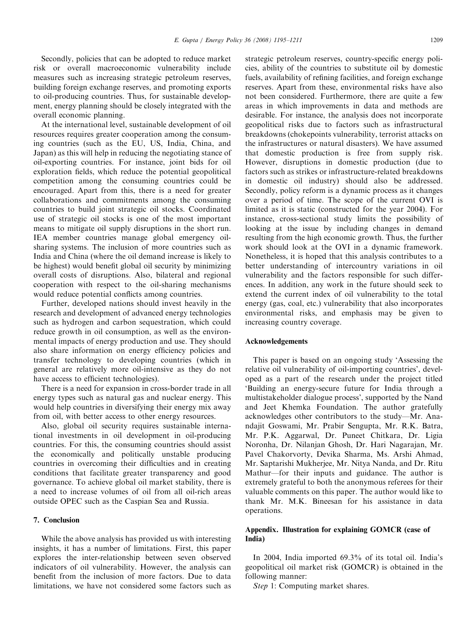Secondly, policies that can be adopted to reduce market risk or overall macroeconomic vulnerability include measures such as increasing strategic petroleum reserves, building foreign exchange reserves, and promoting exports to oil-producing countries. Thus, for sustainable development, energy planning should be closely integrated with the overall economic planning.

At the international level, sustainable development of oil resources requires greater cooperation among the consuming countries (such as the EU, US, India, China, and Japan) as this will help in reducing the negotiating stance of oil-exporting countries. For instance, joint bids for oil exploration fields, which reduce the potential geopolitical competition among the consuming countries could be encouraged. Apart from this, there is a need for greater collaborations and commitments among the consuming countries to build joint strategic oil stocks. Coordinated use of strategic oil stocks is one of the most important means to mitigate oil supply disruptions in the short run. IEA member countries manage global emergency oilsharing systems. The inclusion of more countries such as India and China (where the oil demand increase is likely to be highest) would benefit global oil security by minimizing overall costs of disruptions. Also, bilateral and regional cooperation with respect to the oil-sharing mechanisms would reduce potential conflicts among countries.

Further, developed nations should invest heavily in the research and development of advanced energy technologies such as hydrogen and carbon sequestration, which could reduce growth in oil consumption, as well as the environmental impacts of energy production and use. They should also share information on energy efficiency policies and transfer technology to developing countries (which in general are relatively more oil-intensive as they do not have access to efficient technologies).

There is a need for expansion in cross-border trade in all energy types such as natural gas and nuclear energy. This would help countries in diversifying their energy mix away from oil, with better access to other energy resources.

Also, global oil security requires sustainable international investments in oil development in oil-producing countries. For this, the consuming countries should assist the economically and politically unstable producing countries in overcoming their difficulties and in creating conditions that facilitate greater transparency and good governance. To achieve global oil market stability, there is a need to increase volumes of oil from all oil-rich areas outside OPEC such as the Caspian Sea and Russia.

## 7. Conclusion

While the above analysis has provided us with interesting insights, it has a number of limitations. First, this paper explores the inter-relationship between seven observed indicators of oil vulnerability. However, the analysis can benefit from the inclusion of more factors. Due to data limitations, we have not considered some factors such as strategic petroleum reserves, country-specific energy policies, ability of the countries to substitute oil by domestic fuels, availability of refining facilities, and foreign exchange reserves. Apart from these, environmental risks have also not been considered. Furthermore, there are quite a few areas in which improvements in data and methods are desirable. For instance, the analysis does not incorporate geopolitical risks due to factors such as infrastructural breakdowns (chokepoints vulnerability, terrorist attacks on the infrastructures or natural disasters). We have assumed that domestic production is free from supply risk. However, disruptions in domestic production (due to factors such as strikes or infrastructure-related breakdowns in domestic oil industry) should also be addressed. Secondly, policy reform is a dynamic process as it changes over a period of time. The scope of the current OVI is limited as it is static (constructed for the year 2004). For instance, cross-sectional study limits the possibility of looking at the issue by including changes in demand resulting from the high economic growth. Thus, the further work should look at the OVI in a dynamic framework. Nonetheless, it is hoped that this analysis contributes to a better understanding of intercountry variations in oil vulnerability and the factors responsible for such differences. In addition, any work in the future should seek to extend the current index of oil vulnerability to the total energy (gas, coal, etc.) vulnerability that also incorporates environmental risks, and emphasis may be given to increasing country coverage.

## Acknowledgements

This paper is based on an ongoing study 'Assessing the relative oil vulnerability of oil-importing countries', developed as a part of the research under the project titled 'Building an energy-secure future for India through a multistakeholder dialogue process', supported by the Nand and Jeet Khemka Foundation. The author gratefully acknowledges other contributors to the study—Mr. Anandajit Goswami, Mr. Prabir Sengupta, Mr. R.K. Batra, Mr. P.K. Aggarwal, Dr. Puneet Chitkara, Dr. Ligia Noronha, Dr. Nilanjan Ghosh, Dr. Hari Nagarajan, Mr. Pavel Chakorvorty, Devika Sharma, Ms. Arshi Ahmad, Mr. Saptarishi Mukherjee, Mr. Nitya Nanda, and Dr. Ritu Mathur—for their inputs and guidance. The author is extremely grateful to both the anonymous referees for their valuable comments on this paper. The author would like to thank Mr. M.K. Bineesan for his assistance in data operations.

# Appendix. Illustration for explaining GOMCR (case of India)

In 2004, India imported 69.3% of its total oil. India's geopolitical oil market risk (GOMCR) is obtained in the following manner:

Step 1: Computing market shares.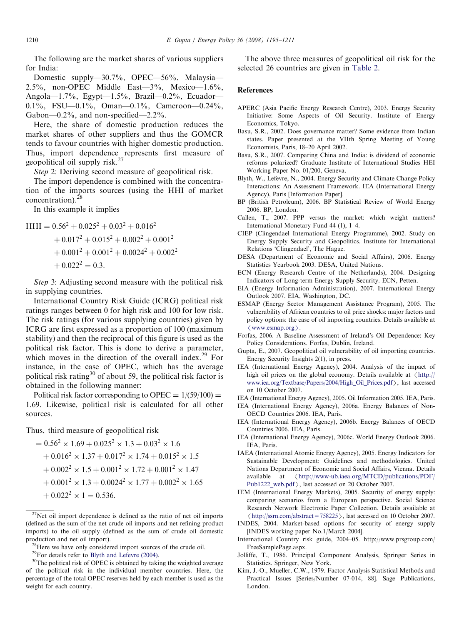<span id="page-15-0"></span>The following are the market shares of various suppliers for India:

Domestic supply—30.7%, OPEC—56%, Malaysia— 2.5%, non-OPEC Middle East—3%, Mexico—1.6%, Angola—1.7%, Egypt—1.5%, Brazil—0.2%, Ecuador— 0.1%, FSU—0.1%, Oman—0.1%, Cameroon—0.24%, Gabon—0.2%, and non-specified—2.2%.

Here, the share of domestic production reduces the market shares of other suppliers and thus the GOMCR tends to favour countries with higher domestic production. Thus, import dependence represents first measure of geopolitical oil supply risk.<sup>27</sup>

Step 2: Deriving second measure of geopolitical risk.

The import dependence is combined with the concentration of the imports sources (using the HHI of market concentration).28

In this example it implies

$$
HHI = 0.562 + 0.0252 + 0.032 + 0.0162
$$
  
+ 0.017<sup>2</sup> + 0.015<sup>2</sup> + 0.002<sup>2</sup> + 0.001<sup>2</sup>  
+ 0.001<sup>2</sup> + 0.001<sup>2</sup> + 0.0024<sup>2</sup> + 0.002<sup>2</sup>  
+ 0.022<sup>2</sup> = 0.3.

Step 3: Adjusting second measure with the political risk in supplying countries.

International Country Risk Guide (ICRG) political risk ratings ranges between 0 for high risk and 100 for low risk. The risk ratings (for various supplying countries) given by ICRG are first expressed as a proportion of 100 (maximum stability) and then the reciprocal of this figure is used as the political risk factor. This is done to derive a parameter, which moves in the direction of the overall index.<sup>29</sup> For instance, in the case of OPEC, which has the average political risk rating<sup>30</sup> of about 59, the political risk factor is obtained in the following manner:

Political risk factor corresponding to OPEC =  $1/(59/100)$  = 1.69. Likewise, political risk is calculated for all other sources.

Thus; third measure of geopolitical risk

$$
= 0.562 \times 1.69 + 0.0252 \times 1.3 + 0.032 \times 1.6
$$
  
+ 0.016<sup>2</sup> \times 1.37 + 0.017<sup>2</sup> \times 1.74 + 0.015<sup>2</sup> \times 1.5  
+ 0.002<sup>2</sup> \times 1.5 + 0.001<sup>2</sup> \times 1.72 + 0.001<sup>2</sup> \times 1.47  
+ 0.001<sup>2</sup> \times 1.3 + 0.0024<sup>2</sup> \times 1.77 + 0.002<sup>2</sup> \times 1.65  
+ 0.022<sup>2</sup> \times 1 = 0.536.

The above three measures of geopolitical oil risk for the selected 26 countries are given in [Table 2.](#page-4-0)

#### References

- APERC (Asia Pacific Energy Research Centre), 2003. Energy Security Initiative: Some Aspects of Oil Security. Institute of Energy Economics, Tokyo.
- Basu, S.R., 2002. Does governance matter? Some evidence from Indian states. Paper presented at the VIIth Spring Meeting of Young Economists, Paris, 18–20 April 2002.
- Basu, S.R., 2007. Comparing China and India: is dividend of economic reforms polarized? Graduate Institute of International Studies HEI Working Paper No. 01/200, Geneva.
- Blyth, W., Lefevre, N., 2004. Energy Security and Climate Change Policy Interactions: An Assessment Framework. IEA (International Energy Agency), Paris [Information Paper].
- BP (British Petroleum), 2006. BP Statistical Review of World Energy 2006. BP, London.
- Callen, T., 2007. PPP versus the market: which weight matters? International Monetary Fund 44 (1), 1–4.
- CIEP (Clingendael International Energy Programme), 2002. Study on Energy Supply Security and Geopolitics. Institute for International Relations 'Clingendael', The Hague.
- DESA (Department of Economic and Social Affairs), 2006. Energy Statistics Yearbook 2003. DESA, United Nations.
- ECN (Energy Research Centre of the Netherlands), 2004. Designing Indicators of Long-term Energy Supply Security. ECN, Petten.
- EIA (Energy Information Administration), 2007. International Energy Outlook 2007. EIA, Washington, DC.
- ESMAP (Energy Sector Management Assistance Program), 2005. The vulnerability of African countries to oil price shocks: major factors and policy options: the case of oil importing countries. Details available at  $\langle$  [www.esmap.org](http://www.esmap.org) $\rangle$ .
- Forfas, 2006. A Baseline Assessment of Ireland's Oil Dependence: Key Policy Considerations. Forfas, Dublin, Ireland.
- Gupta, E., 2007. Geopolitical oil vulnerability of oil importing countries. Energy Security Insights 2(1), in press.
- IEA (International Energy Agency), 2004. Analysis of the impact of high oil prices on the global economy. Details available at  $\langle$  [http://](http://www.iea.org/Textbase/Papers/2004/High_Oil_Prices.pdf) [www.iea.org/Textbase/Papers/2004/High\\_Oil\\_Prices.pdf](http://www.iea.org/Textbase/Papers/2004/High_Oil_Prices.pdf)>, last accessed on 10 October 2007.
- IEA (International Energy Agency), 2005. Oil Information 2005. IEA, Paris.
- IEA (International Energy Agency), 2006a. Energy Balances of Non-OECD Countries 2006. IEA, Paris.
- IEA (International Energy Agency), 2006b. Energy Balances of OECD Countries 2006. IEA, Paris.
- IEA (International Energy Agency), 2006c. World Energy Outlook 2006. IEA, Paris.
- IAEA (International Atomic Energy Agency), 2005. Energy Indicators for Sustainable Development: Guidelines and methodologies. United Nations Department of Economic and Social Affairs, Vienna. Details available at /[http://www-ub.iaea.org/MTCD/publications/PDF/](http://www-ub.iaea.org/MTCD/publications/PDF/Pub1222_web.pdf) [Pub1222\\_web.pdf](http://www-ub.iaea.org/MTCD/publications/PDF/Pub1222_web.pdf)  $\rangle$ , last accessed on 20 October 2007.
- IEM (International Energy Markets), 2005. Security of energy supply: comparing scenarios from a European perspective. Social Science Research Network Electronic Paper Collection. Details available at  $\langle$  <http://ssrn.com/abstract=758225> $\rangle$ , last accessed on 10 October 2007.
- INDES, 2004. Market-based options for security of energy supply [INDES working paper No.1/March 2004].
- International Country risk guide, 2004–05. http://www.prsgroup.com/ FreeSamplePage.aspx.
- Jolliffe, T., 1986. Principal Component Analysis, Springer Series in Statistics. Springer, New York.
- Kim, J.-O., Mueller, C.W., 1979. Factor Analysis Statistical Methods and Practical Issues [Series/Number 07-014, 88]. Sage Publications, London.

 $27$ Net oil import dependence is defined as the ratio of net oil imports (defined as the sum of the net crude oil imports and net refining product imports) to the oil supply (defined as the sum of crude oil domestic production and net oil import).<br><sup>28</sup>Here we have only considered import sources of the crude oil.<br><sup>29</sup>For details refer to Blyth and Lefevre (2004).

 $30$ The political risk of OPEC is obtained by taking the weighted average of the political risk in the individual member countries. Here, the percentage of the total OPEC reserves held by each member is used as the weight for each country.